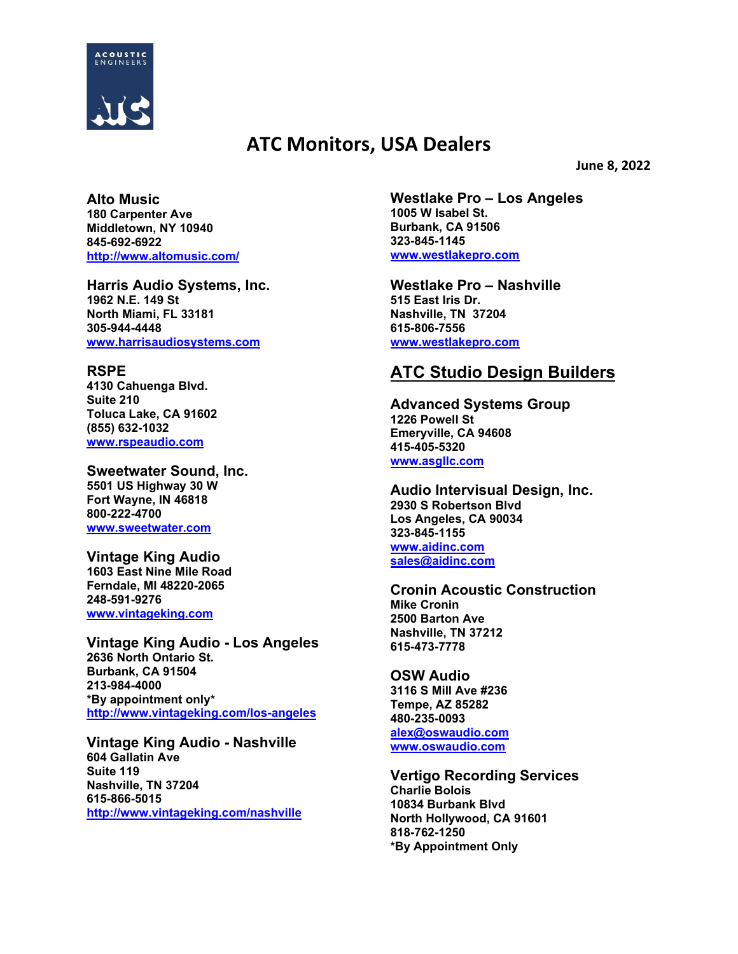

## **ATC Monitors, USA Dealers**

**June 8, 2022**

**Alto Music 180 Carpenter Ave Middletown, NY 10940 845-692-6922 <http://www.altomusic.com/>**

**Harris Audio Systems, Inc. 1962 N.E. 149 St North Miami, FL 33181 305-944-4448 [www.harrisaudiosystems.com](http://www.harrisaudiosystems.com/)**

## **RSPE**

**4130 Cahuenga Blvd. Suite 210 Toluca Lake, CA 91602 (855) 632-1032 [www.rspeaudio.com](http://www.rspeaudio.com/)**

**Sweetwater Sound, Inc. 5501 US Highway 30 W Fort Wayne, IN 46818 800-222-4700 [www.sweetwater.com](http://www.sweetwater.com/)**

**Vintage King Audio 1603 East Nine Mile Road Ferndale, MI 48220-2065 248-591-9276 [www.vintageking.com](http://www.vintageking.com/)**

**Vintage King Audio - Los Angeles 2636 North Ontario St. Burbank, CA 91504 213-984-4000 \*By appointment only\* <http://www.vintageking.com/los-angeles>**

**Vintage King Audio - Nashville 604 Gallatin Ave Suite 119 Nashville, TN 37204 615-866-5015 <http://www.vintageking.com/nashville>** **Westlake Pro – Los Angeles 1005 W Isabel St. Burbank, CA 91506 323-845-1145 [www.westlakepro.com](http://www.westlakepro.com/)**

**Westlake Pro – Nashville 515 East Iris Dr. Nashville, TN 37204 615-806-7556 [www.westlakepro.com](http://www.westlakepro.com/)**

## **ATC Studio Design Builders**

**Advanced Systems Group 1226 Powell St Emeryville, CA 94608 415-405-5320 [www.asgllc.com](http://www.asgllc.com/)**

**Audio Intervisual Design, Inc. 2930 S Robertson Blvd Los Angeles, CA 90034 323-845-1155 [www.aidinc.com](http://www.aidinc.com/) [sales@aidinc.com](mailto:sales@aidinc.com)**

**Cronin Acoustic Construction Mike Cronin 2500 Barton Ave Nashville, TN 37212 615-473-7778** 

**OSW Audio 3116 S Mill Ave #236 Tempe, AZ 85282 480-235-0093 [alex@oswaudio.com](mailto:alex@oswaudio.com) [www.oswaudio.com](http://www.oswaudio.com/)**

**Vertigo Recording Services Charlie Bolois 10834 Burbank Blvd North Hollywood, CA 91601 818-762-1250 \*By Appointment Only**